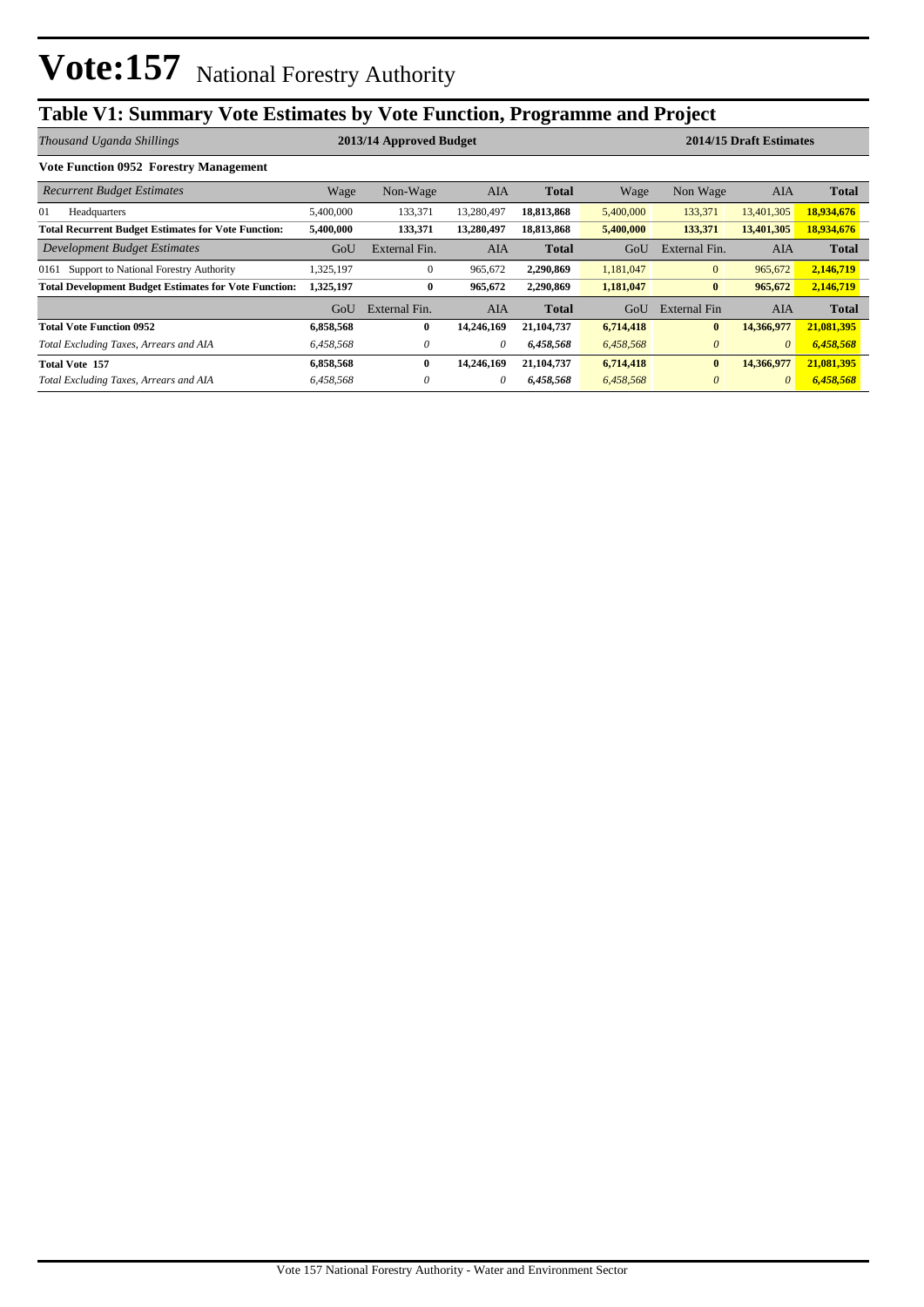## **Table V1: Summary Vote Estimates by Vote Function, Programme and Project**

| Thousand Uganda Shillings                                    | 2014/15 Draft Estimates<br>2013/14 Approved Budget |               |            |              |           |               |            |              |
|--------------------------------------------------------------|----------------------------------------------------|---------------|------------|--------------|-----------|---------------|------------|--------------|
| <b>Vote Function 0952 Forestry Management</b>                |                                                    |               |            |              |           |               |            |              |
| <b>Recurrent Budget Estimates</b>                            | Wage                                               | Non-Wage      | <b>AIA</b> | <b>Total</b> | Wage      | Non Wage      | <b>AIA</b> | <b>Total</b> |
| 01<br>Headquarters                                           | 5,400,000                                          | 133,371       | 13,280,497 | 18,813,868   | 5,400,000 | 133,371       | 13,401,305 | 18,934,676   |
| <b>Total Recurrent Budget Estimates for Vote Function:</b>   | 5,400,000                                          | 133,371       | 13,280,497 | 18,813,868   | 5,400,000 | 133,371       | 13,401,305 | 18,934,676   |
| Development Budget Estimates                                 | GoU                                                | External Fin. | AIA        | <b>Total</b> | GoU       | External Fin. | AIA        | <b>Total</b> |
| 0161 Support to National Forestry Authority                  | .325,197                                           | $\mathbf{0}$  | 965,672    | 2,290,869    | 1,181,047 | $\mathbf{0}$  | 965,672    | 2,146,719    |
| <b>Total Development Budget Estimates for Vote Function:</b> | 1,325,197                                          | $\bf{0}$      | 965,672    | 2.290.869    | 1,181,047 | $\bf{0}$      | 965,672    | 2,146,719    |
|                                                              | GoU                                                | External Fin. | AIA        | <b>Total</b> | GoU       | External Fin  | AIA        | <b>Total</b> |
| <b>Total Vote Function 0952</b>                              | 6,858,568                                          | $\bf{0}$      | 14,246,169 | 21, 104, 737 | 6,714,418 | $\bf{0}$      | 14,366,977 | 21,081,395   |
| Total Excluding Taxes, Arrears and AIA                       | 6,458,568                                          | 0             | $\theta$   | 6,458,568    | 6,458,568 | $\theta$      | $\theta$   | 6,458,568    |
| <b>Total Vote 157</b>                                        | 6,858,568                                          | $\bf{0}$      | 14,246,169 | 21, 104, 737 | 6,714,418 | $\bf{0}$      | 14,366,977 | 21,081,395   |
| Total Excluding Taxes, Arrears and AIA                       | 6,458,568                                          | 0             | 0          | 6,458,568    | 6,458,568 | $\theta$      | $\theta$   | 6,458,568    |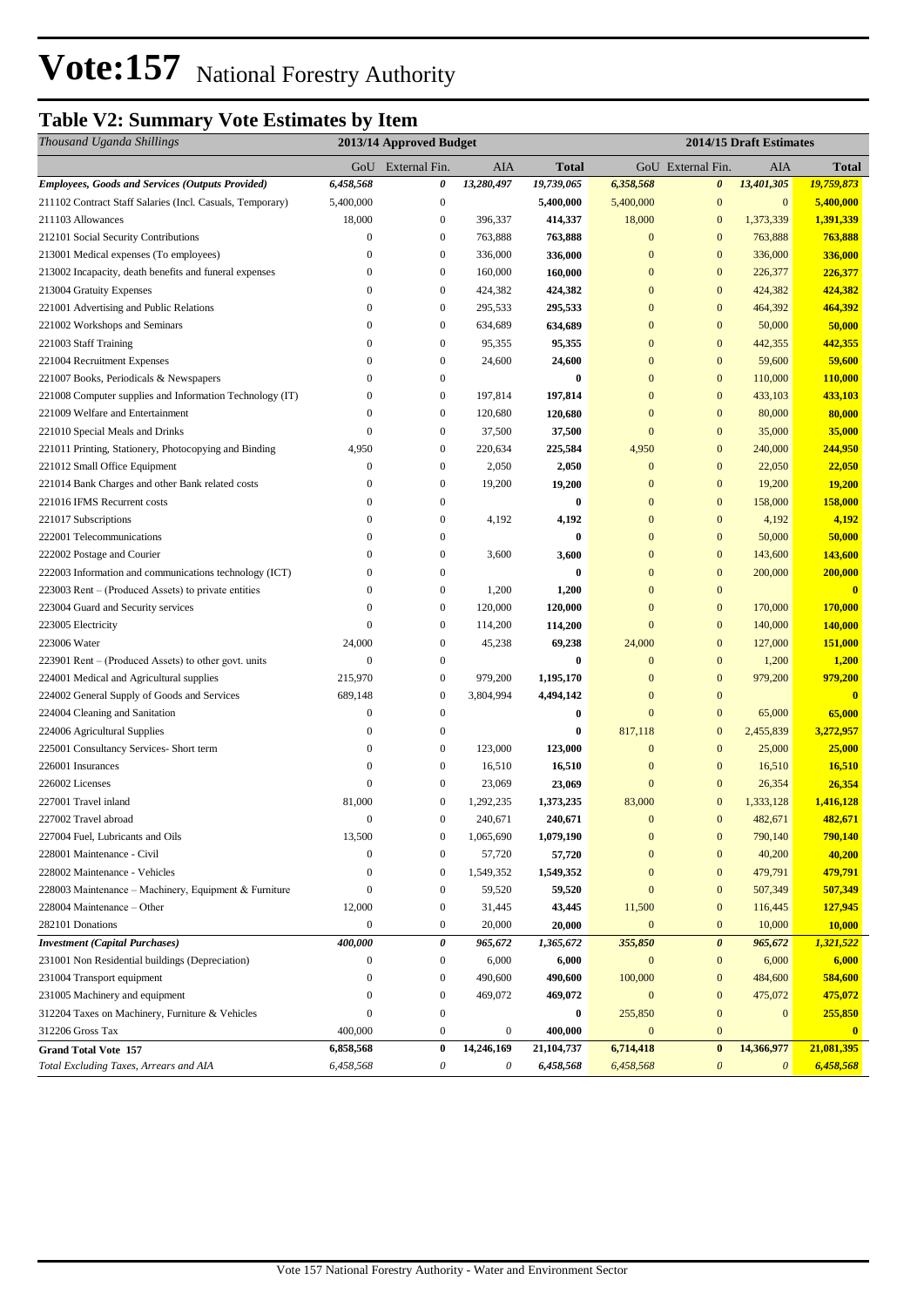### **Table V2: Summary Vote Estimates by Item**

| Thousand Uganda Shillings                                 | 2013/14 Approved Budget |                           |                  |              | 2014/15 Draft Estimates |                       |                       |                   |
|-----------------------------------------------------------|-------------------------|---------------------------|------------------|--------------|-------------------------|-----------------------|-----------------------|-------------------|
|                                                           | GoU                     | External Fin.             | AIA              | <b>Total</b> |                         | GoU External Fin.     | AIA                   | Total             |
| <b>Employees, Goods and Services (Outputs Provided)</b>   | 6,458,568               | 0                         | 13,280,497       | 19,739,065   | 6,358,568               | $\boldsymbol{\theta}$ | 13,401,305            | <u>19,759,873</u> |
| 211102 Contract Staff Salaries (Incl. Casuals, Temporary) | 5,400,000               | $\boldsymbol{0}$          |                  | 5,400,000    | 5,400,000               | $\mathbf{0}$          | $\boldsymbol{0}$      | 5,400,000         |
| 211103 Allowances                                         | 18,000                  | $\boldsymbol{0}$          | 396,337          | 414,337      | 18,000                  | $\mathbf{0}$          | 1,373,339             | 1,391,339         |
| 212101 Social Security Contributions                      | $\boldsymbol{0}$        | $\boldsymbol{0}$          | 763,888          | 763,888      | $\mathbf{0}$            | $\mathbf{0}$          | 763,888               | 763,888           |
| 213001 Medical expenses (To employees)                    | $\theta$                | $\boldsymbol{0}$          | 336,000          | 336,000      | $\mathbf{0}$            | $\mathbf{0}$          | 336,000               | 336,000           |
| 213002 Incapacity, death benefits and funeral expenses    | $\mathbf{0}$            | $\boldsymbol{0}$          | 160,000          | 160,000      | $\mathbf{0}$            | $\mathbf{0}$          | 226,377               | 226,377           |
| 213004 Gratuity Expenses                                  | $\mathbf{0}$            | $\boldsymbol{0}$          | 424,382          | 424,382      | $\mathbf{0}$            | $\mathbf{0}$          | 424,382               | 424,382           |
| 221001 Advertising and Public Relations                   | $\bf{0}$                | $\boldsymbol{0}$          | 295,533          | 295,533      | $\mathbf{0}$            | $\mathbf{0}$          | 464,392               | 464,392           |
| 221002 Workshops and Seminars                             | $\mathbf{0}$            | $\boldsymbol{0}$          | 634,689          | 634,689      | $\mathbf{0}$            | $\mathbf{0}$          | 50,000                | 50,000            |
| 221003 Staff Training                                     | $\mathbf{0}$            | $\boldsymbol{0}$          | 95,355           | 95,355       | $\mathbf{0}$            | $\mathbf{0}$          | 442,355               | 442,355           |
| 221004 Recruitment Expenses                               | $\theta$                | $\boldsymbol{0}$          | 24,600           | 24,600       | $\mathbf{0}$            | $\mathbf{0}$          | 59,600                | 59,600            |
| 221007 Books, Periodicals & Newspapers                    | $\overline{0}$          | $\boldsymbol{0}$          |                  | $\bf{0}$     | $\mathbf{0}$            | $\mathbf{0}$          | 110,000               | 110,000           |
| 221008 Computer supplies and Information Technology (IT)  | $\boldsymbol{0}$        | $\boldsymbol{0}$          | 197,814          | 197,814      | $\mathbf{0}$            | $\mathbf{0}$          | 433,103               | 433,103           |
| 221009 Welfare and Entertainment                          | $\mathbf{0}$            | $\boldsymbol{0}$          | 120,680          | 120,680      | $\mathbf{0}$            | $\mathbf{0}$          | 80,000                | 80,000            |
| 221010 Special Meals and Drinks                           | $\theta$                | $\boldsymbol{0}$          | 37,500           | 37,500       | $\mathbf{0}$            | $\mathbf{0}$          | 35,000                | 35,000            |
| 221011 Printing, Stationery, Photocopying and Binding     | 4,950                   | $\boldsymbol{0}$          | 220,634          | 225,584      | 4,950                   | $\mathbf{0}$          | 240,000               | 244,950           |
| 221012 Small Office Equipment                             | $\boldsymbol{0}$        | $\boldsymbol{0}$          | 2,050            | 2,050        | $\mathbf{0}$            | $\mathbf{0}$          | 22,050                | 22,050            |
| 221014 Bank Charges and other Bank related costs          | $\bf{0}$                | $\boldsymbol{0}$          | 19,200           | 19,200       | $\mathbf{0}$            | $\mathbf{0}$          | 19,200                | 19,200            |
| 221016 IFMS Recurrent costs                               | $\mathbf{0}$            | $\boldsymbol{0}$          |                  | $\bf{0}$     | $\boldsymbol{0}$        | $\boldsymbol{0}$      | 158,000               | 158,000           |
| 221017 Subscriptions                                      | $\boldsymbol{0}$        | $\boldsymbol{0}$          | 4,192            | 4,192        | $\mathbf{0}$            | $\mathbf{0}$          | 4,192                 | 4,192             |
| 222001 Telecommunications                                 | $\mathbf{0}$            | $\boldsymbol{0}$          |                  | $\bf{0}$     | $\mathbf{0}$            | $\mathbf{0}$          | 50,000                | 50,000            |
| 222002 Postage and Courier                                | $\mathbf{0}$            | $\boldsymbol{0}$          | 3,600            | 3,600        | $\mathbf{0}$            | $\mathbf{0}$          | 143,600               | 143,600           |
| 222003 Information and communications technology (ICT)    | $\boldsymbol{0}$        | $\boldsymbol{0}$          |                  | $\bf{0}$     | $\mathbf{0}$            | $\mathbf{0}$          | 200,000               | 200,000           |
| 223003 Rent – (Produced Assets) to private entities       | $\mathbf{0}$            | $\boldsymbol{0}$          | 1,200            | 1,200        | $\mathbf{0}$            | $\mathbf{0}$          |                       | $\bf{0}$          |
| 223004 Guard and Security services                        | $\Omega$                | $\boldsymbol{0}$          | 120,000          | 120,000      | $\mathbf{0}$            | $\mathbf{0}$          | 170,000               | 170,000           |
| 223005 Electricity                                        | $\mathbf{0}$            | $\boldsymbol{0}$          | 114,200          | 114,200      | $\mathbf{0}$            | $\mathbf{0}$          | 140,000               | 140,000           |
| 223006 Water                                              | 24,000                  | $\boldsymbol{0}$          | 45,238           | 69,238       | 24,000                  | $\mathbf{0}$          | 127,000               | 151,000           |
| 223901 Rent – (Produced Assets) to other govt. units      | $\mathbf{0}$            | $\boldsymbol{0}$          |                  | $\bf{0}$     | $\mathbf{0}$            | $\mathbf{0}$          | 1,200                 | 1,200             |
| 224001 Medical and Agricultural supplies                  | 215,970                 | $\boldsymbol{0}$          | 979,200          | 1,195,170    | $\mathbf{0}$            | $\boldsymbol{0}$      | 979,200               | 979,200           |
| 224002 General Supply of Goods and Services               | 689,148                 | $\boldsymbol{0}$          | 3,804,994        | 4,494,142    | $\mathbf{0}$            | $\mathbf{0}$          |                       | $\mathbf{0}$      |
| 224004 Cleaning and Sanitation                            | $\boldsymbol{0}$        | $\boldsymbol{0}$          |                  | $\bf{0}$     | $\mathbf{0}$            | $\mathbf{0}$          | 65,000                | 65,000            |
| 224006 Agricultural Supplies                              | $\boldsymbol{0}$        | $\boldsymbol{0}$          |                  | 0            | 817,118                 | $\mathbf{0}$          | 2,455,839             | 3,272,957         |
| 225001 Consultancy Services- Short term                   | $\mathbf{0}$            | $\boldsymbol{0}$          | 123,000          | 123,000      | $\mathbf{0}$            | $\mathbf{0}$          | 25,000                | 25,000            |
| 226001 Insurances                                         | $\mathbf{0}$            | $\boldsymbol{0}$          | 16,510           | 16,510       | $\mathbf{0}$            | $\mathbf{0}$          | 16,510                | 16,510            |
| 226002 Licenses                                           | $\mathbf{0}$            | $\boldsymbol{0}$          | 23,069           | 23,069       | $\mathbf{0}$            | $\mathbf{0}$          | 26,354                | 26,354            |
| 227001 Travel inland                                      | 81,000                  | $\boldsymbol{0}$          | 1,292,235        | 1,373,235    | 83,000                  | $\mathbf{0}$          | 1,333,128             | 1,416,128         |
| 227002 Travel abroad                                      | $\Omega$                | $\mathbf{0}$              | 240,671          | 240,671      | $\mathbf{0}$            | $\mathbf{0}$          | 482,671               | 482,671           |
| 227004 Fuel, Lubricants and Oils                          | 13,500                  | $\boldsymbol{0}$          | 1,065,690        | 1,079,190    | $\mathbf{0}$            | $\bf{0}$              | 790,140               | 790,140           |
| 228001 Maintenance - Civil                                | $\mathbf{0}$            | $\boldsymbol{0}$          | 57,720           | 57,720       | $\mathbf{0}$            | $\mathbf{0}$          | 40,200                | 40,200            |
| 228002 Maintenance - Vehicles                             | $\boldsymbol{0}$        | $\boldsymbol{0}$          | 1,549,352        | 1,549,352    | $\boldsymbol{0}$        | $\mathbf{0}$          | 479,791               | 479,791           |
| 228003 Maintenance - Machinery, Equipment & Furniture     | $\boldsymbol{0}$        | $\boldsymbol{0}$          | 59,520           | 59,520       | $\mathbf{0}$            | $\mathbf{0}$          | 507,349               | 507,349           |
| 228004 Maintenance - Other                                | 12,000                  | $\boldsymbol{0}$          | 31,445           | 43,445       | 11,500                  | $\mathbf{0}$          | 116,445               | 127,945           |
| 282101 Donations                                          | $\mathbf{0}$            | $\boldsymbol{0}$          | 20,000           | 20,000       | $\boldsymbol{0}$        | $\mathbf{0}$          | 10,000                | 10,000            |
| <b>Investment</b> (Capital Purchases)                     | 400,000                 | $\pmb{\theta}$            | 965,672          | 1,365,672    | 355,850                 | $\boldsymbol{\theta}$ | 965,672               | 1,321,522         |
| 231001 Non Residential buildings (Depreciation)           | $\mathbf{0}$            | $\boldsymbol{0}$          | 6,000            | 6,000        | $\mathbf{0}$            | $\bf{0}$              | 6,000                 | 6,000             |
| 231004 Transport equipment                                | $\boldsymbol{0}$        | $\boldsymbol{0}$          | 490,600          | 490,600      | 100,000                 | $\bf{0}$              | 484,600               | 584,600           |
| 231005 Machinery and equipment                            | $\boldsymbol{0}$        | $\boldsymbol{0}$          | 469,072          | 469,072      | $\boldsymbol{0}$        | $\boldsymbol{0}$      | 475,072               | 475,072           |
| 312204 Taxes on Machinery, Furniture & Vehicles           | $\boldsymbol{0}$        | 0                         |                  | $\bf{0}$     | 255,850                 | $\bf{0}$              | $\mathbf{0}$          | 255,850           |
| 312206 Gross Tax                                          | 400,000                 | $\boldsymbol{0}$          | $\boldsymbol{0}$ | 400,000      | $\mathbf{0}$            | $\mathbf{0}$          |                       | $\mathbf{0}$      |
| <b>Grand Total Vote 157</b>                               | 6,858,568               | $\bf{0}$                  | 14,246,169       | 21,104,737   | 6,714,418               | $\pmb{0}$             | 14,366,977            | 21,081,395        |
| Total Excluding Taxes, Arrears and AIA                    | 6,458,568               | $\boldsymbol{\mathit{0}}$ | 0                | 6,458,568    | 6,458,568               | $\boldsymbol{\theta}$ | $\boldsymbol{\theta}$ | 6,458,568         |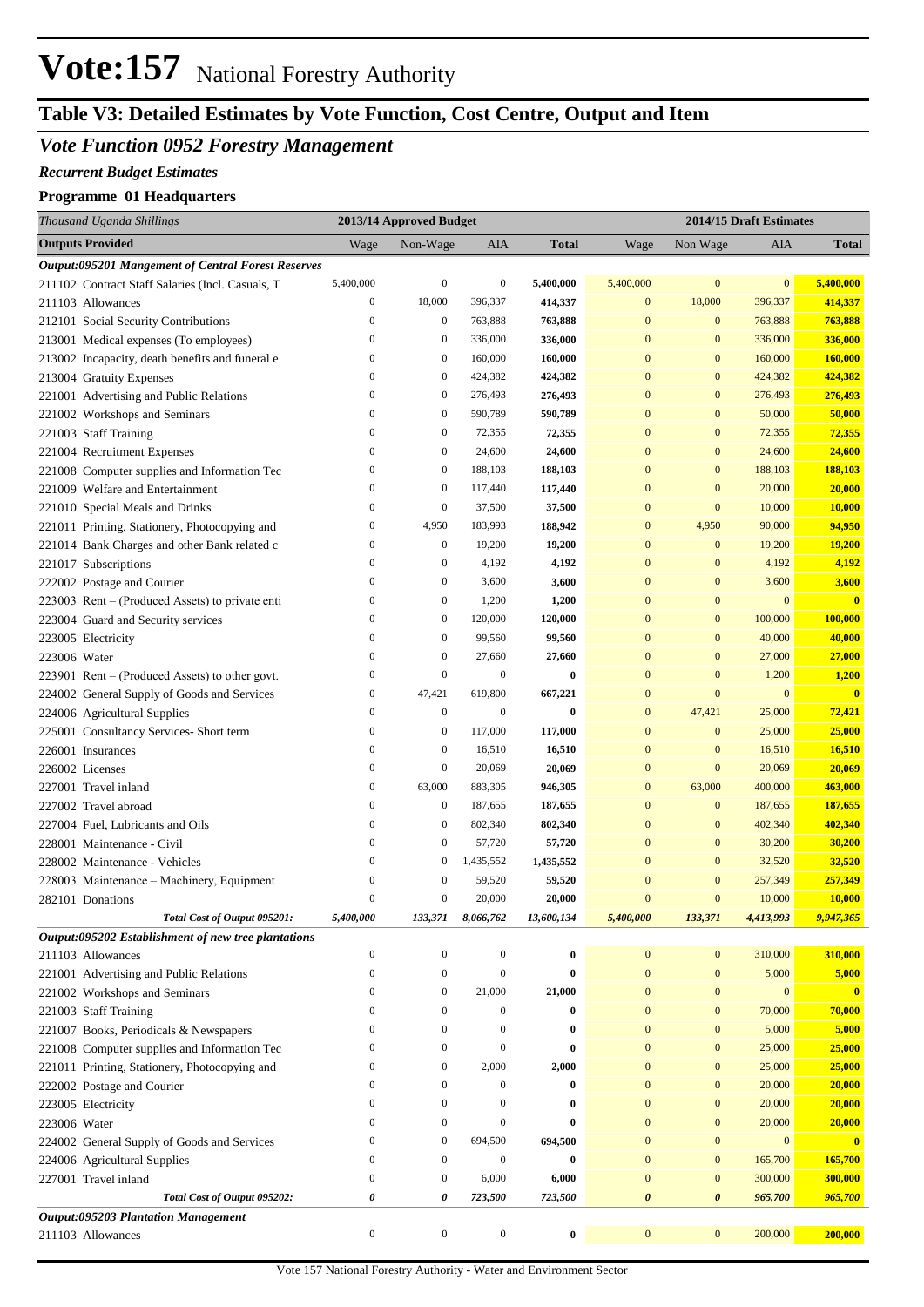## **Table V3: Detailed Estimates by Vote Function, Cost Centre, Output and Item**

#### *Vote Function 0952 Forestry Management*

#### *Recurrent Budget Estimates*

#### **Programme 01 Headquarters**

| Thousand Uganda Shillings                                 |                                      | 2013/14 Approved Budget              |                           |                   |                          | 2014/15 Draft Estimates  |                    |                         |  |
|-----------------------------------------------------------|--------------------------------------|--------------------------------------|---------------------------|-------------------|--------------------------|--------------------------|--------------------|-------------------------|--|
| <b>Outputs Provided</b>                                   | Wage                                 | Non-Wage                             | AIA                       | <b>Total</b>      | Wage                     | Non Wage                 | AIA                | <b>Total</b>            |  |
| <b>Output:095201 Mangement of Central Forest Reserves</b> |                                      |                                      |                           |                   |                          |                          |                    |                         |  |
| 211102 Contract Staff Salaries (Incl. Casuals, T.         | 5,400,000                            | $\boldsymbol{0}$                     | $\boldsymbol{0}$          | 5,400,000         | 5,400,000                | $\bf{0}$                 | $\mathbf{0}$       | 5,400,000               |  |
| 211103 Allowances                                         | $\boldsymbol{0}$                     | 18,000                               | 396,337                   | 414,337           | $\boldsymbol{0}$         | 18,000                   | 396,337            | 414,337                 |  |
| 212101 Social Security Contributions                      | $\boldsymbol{0}$                     | $\boldsymbol{0}$                     | 763,888                   | 763,888           | $\mathbf{0}$             | $\mathbf{0}$             | 763,888            | 763,888                 |  |
| 213001 Medical expenses (To employees)                    | $\boldsymbol{0}$                     | $\boldsymbol{0}$                     | 336,000                   | 336,000           | $\mathbf{0}$             | $\mathbf{0}$             | 336,000            | 336,000                 |  |
| 213002 Incapacity, death benefits and funeral e           | $\boldsymbol{0}$                     | $\boldsymbol{0}$                     | 160,000                   | 160,000           | $\mathbf{0}$             | $\mathbf{0}$             | 160,000            | 160,000                 |  |
| 213004 Gratuity Expenses                                  | $\mathbf{0}$                         | $\boldsymbol{0}$                     | 424,382                   | 424,382           | $\mathbf{0}$             | $\mathbf{0}$             | 424,382            | 424,382                 |  |
| 221001 Advertising and Public Relations                   | $\boldsymbol{0}$                     | $\boldsymbol{0}$                     | 276,493                   | 276,493           | $\mathbf{0}$             | $\mathbf{0}$             | 276,493            | 276,493                 |  |
| 221002 Workshops and Seminars                             | $\boldsymbol{0}$                     | $\boldsymbol{0}$                     | 590,789                   | 590,789           | $\mathbf{0}$             | $\mathbf{0}$             | 50,000             | 50,000                  |  |
| 221003 Staff Training                                     | $\boldsymbol{0}$                     | $\boldsymbol{0}$                     | 72,355                    | 72,355            | $\mathbf{0}$             | $\mathbf{0}$             | 72,355             | 72,355                  |  |
| 221004 Recruitment Expenses                               | $\boldsymbol{0}$                     | $\boldsymbol{0}$                     | 24,600                    | 24,600            | $\mathbf{0}$             | $\mathbf{0}$             | 24,600             | 24,600                  |  |
| 221008 Computer supplies and Information Tec              | $\boldsymbol{0}$                     | $\boldsymbol{0}$                     | 188,103                   | 188,103           | $\mathbf{0}$             | $\mathbf{0}$             | 188,103            | 188,103                 |  |
| 221009 Welfare and Entertainment                          | $\boldsymbol{0}$                     | $\boldsymbol{0}$                     | 117,440                   | 117,440           | $\mathbf{0}$             | $\mathbf{0}$             | 20,000             | 20,000                  |  |
| 221010 Special Meals and Drinks                           | $\boldsymbol{0}$                     | $\boldsymbol{0}$                     | 37,500                    | 37,500            | $\mathbf{0}$             | $\mathbf{0}$             | 10,000             | 10,000                  |  |
| 221011 Printing, Stationery, Photocopying and             | $\boldsymbol{0}$                     | 4,950                                | 183,993                   | 188,942           | $\mathbf{0}$             | 4,950                    | 90,000             | 94,950                  |  |
| 221014 Bank Charges and other Bank related c              | $\boldsymbol{0}$                     | $\boldsymbol{0}$                     | 19,200                    | 19,200            | $\mathbf{0}$             | $\mathbf{0}$             | 19,200             | 19,200                  |  |
| 221017 Subscriptions                                      | $\boldsymbol{0}$                     | $\boldsymbol{0}$                     | 4,192                     | 4,192             | $\mathbf{0}$             | $\mathbf{0}$             | 4,192              | 4,192                   |  |
| 222002 Postage and Courier                                | $\boldsymbol{0}$                     | $\boldsymbol{0}$                     | 3,600                     | 3,600             | $\mathbf{0}$             | $\boldsymbol{0}$         | 3,600              | 3,600                   |  |
| 223003 Rent – (Produced Assets) to private enti           | $\boldsymbol{0}$                     | $\boldsymbol{0}$                     | 1,200                     | 1,200             | $\mathbf{0}$             | $\mathbf{0}$             | $\mathbf{0}$       | $\overline{\mathbf{0}}$ |  |
| 223004 Guard and Security services                        | $\boldsymbol{0}$                     | $\boldsymbol{0}$                     | 120,000                   | 120,000           | $\mathbf{0}$             | $\mathbf{0}$             | 100,000            | 100,000                 |  |
| 223005 Electricity                                        | $\boldsymbol{0}$                     | $\boldsymbol{0}$                     | 99,560                    | 99,560            | $\mathbf{0}$             | $\mathbf{0}$             | 40,000             | 40,000                  |  |
| 223006 Water                                              | $\boldsymbol{0}$                     | $\boldsymbol{0}$                     | 27,660                    | 27,660            | $\mathbf{0}$             | $\mathbf{0}$             | 27,000             | 27,000                  |  |
| $223901$ Rent – (Produced Assets) to other govt.          | $\boldsymbol{0}$                     | $\boldsymbol{0}$                     | $\boldsymbol{0}$          | $\bf{0}$          | $\mathbf{0}$             | $\mathbf{0}$             | 1,200              | 1,200                   |  |
| 224002 General Supply of Goods and Services               | $\boldsymbol{0}$                     | 47,421                               | 619,800                   | 667,221           | $\mathbf{0}$             | $\mathbf{0}$             | $\mathbf{0}$       | $\overline{\mathbf{0}}$ |  |
| 224006 Agricultural Supplies                              | $\boldsymbol{0}$                     | $\boldsymbol{0}$                     | $\boldsymbol{0}$          | $\bf{0}$          | $\mathbf{0}$             | 47,421                   | 25,000             | 72,421                  |  |
| 225001 Consultancy Services- Short term                   | $\boldsymbol{0}$                     | $\boldsymbol{0}$                     | 117,000                   | 117,000           | $\mathbf{0}$             | $\bf{0}$                 | 25,000             | 25,000                  |  |
| 226001 Insurances                                         | $\boldsymbol{0}$                     | $\boldsymbol{0}$                     | 16,510                    | 16,510            | $\mathbf{0}$             | $\mathbf{0}$             | 16,510             | 16,510                  |  |
| 226002 Licenses                                           | $\boldsymbol{0}$                     | $\boldsymbol{0}$                     | 20,069                    | 20,069            | $\mathbf{0}$             | $\mathbf{0}$             | 20,069             | 20,069                  |  |
| 227001 Travel inland                                      | $\boldsymbol{0}$                     | 63,000                               | 883,305                   | 946,305           | $\mathbf{0}$             | 63,000                   | 400,000            | 463,000                 |  |
| 227002 Travel abroad                                      | $\boldsymbol{0}$                     | $\boldsymbol{0}$                     | 187,655                   | 187,655           | $\mathbf{0}$             | $\mathbf{0}$             | 187,655            | 187,655                 |  |
| 227004 Fuel, Lubricants and Oils                          | $\boldsymbol{0}$                     | $\boldsymbol{0}$                     | 802,340                   | 802,340           | $\mathbf{0}$             | $\mathbf{0}$             | 402,340            | 402,340                 |  |
| 228001 Maintenance - Civil                                | $\boldsymbol{0}$                     | $\boldsymbol{0}$                     | 57,720                    | 57,720            | $\mathbf{0}$             | $\mathbf{0}$             | 30,200             | 30,200                  |  |
| 228002 Maintenance - Vehicles                             | $\boldsymbol{0}$                     | $\boldsymbol{0}$                     | 1,435,552                 | 1,435,552         | $\mathbf{0}$             | $\mathbf{0}$             | 32,520             | 32,520                  |  |
| 228003 Maintenance - Machinery, Equipment                 | $\boldsymbol{0}$                     | $\boldsymbol{0}$                     | 59,520                    | 59,520            | $\boldsymbol{0}$         | $\mathbf{0}$             | 257,349            | 257,349                 |  |
| 282101 Donations                                          | $\mathbf{0}$                         | $\boldsymbol{0}$                     | 20,000                    | 20,000            | $\mathbf{0}$             | $\mathbf{0}$             | 10,000             | 10,000                  |  |
| Total Cost of Output 095201:                              | 5,400,000                            | 133,371                              | 8,066,762                 | 13,600,134        | 5,400,000                | 133,371                  | 4,413,993          | 9,947,365               |  |
| Output:095202 Establishment of new tree plantations       |                                      |                                      |                           |                   |                          |                          |                    |                         |  |
| 211103 Allowances                                         | $\boldsymbol{0}$                     | $\boldsymbol{0}$                     | $\boldsymbol{0}$          | $\bf{0}$          | $\boldsymbol{0}$         | $\bf{0}$                 | 310,000            | 310,000                 |  |
| 221001 Advertising and Public Relations                   | $\boldsymbol{0}$                     | $\boldsymbol{0}$                     | $\boldsymbol{0}$          | $\bf{0}$          | $\boldsymbol{0}$         | $\bf{0}$                 | 5,000              | 5,000                   |  |
| 221002 Workshops and Seminars                             | $\boldsymbol{0}$                     | $\boldsymbol{0}$                     | 21,000                    | 21,000            | $\boldsymbol{0}$         | $\bf{0}$                 | $\mathbf{0}$       | $\mathbf{0}$            |  |
| 221003 Staff Training                                     | $\boldsymbol{0}$                     | $\boldsymbol{0}$                     | $\boldsymbol{0}$          | $\bf{0}$          | $\mathbf{0}$             | $\bf{0}$                 | 70,000             | 70,000                  |  |
| 221007 Books, Periodicals & Newspapers                    | $\boldsymbol{0}$                     | $\boldsymbol{0}$                     | $\boldsymbol{0}$          | $\bf{0}$          | $\mathbf{0}$             | $\bf{0}$                 | 5,000              | 5,000                   |  |
| 221008 Computer supplies and Information Tec              | $\boldsymbol{0}$                     | $\boldsymbol{0}$                     | $\boldsymbol{0}$          | $\bf{0}$          | $\mathbf{0}$             | $\bf{0}$                 | 25,000             | 25,000                  |  |
| 221011 Printing, Stationery, Photocopying and             | $\boldsymbol{0}$                     | $\boldsymbol{0}$                     | 2,000                     | 2,000             | $\mathbf{0}$             | $\bf{0}$                 | 25,000             | 25,000                  |  |
| 222002 Postage and Courier                                | $\boldsymbol{0}$                     | $\boldsymbol{0}$                     | $\boldsymbol{0}$          | $\bf{0}$          | $\mathbf{0}$             | $\bf{0}$                 | 20,000             | 20,000                  |  |
| 223005 Electricity                                        | $\boldsymbol{0}$                     | $\boldsymbol{0}$                     | $\boldsymbol{0}$          | $\bf{0}$          | $\mathbf{0}$             | $\bf{0}$                 | 20,000             | 20,000                  |  |
| 223006 Water                                              | $\boldsymbol{0}$                     | $\boldsymbol{0}$                     | $\boldsymbol{0}$          | $\bf{0}$          | $\mathbf{0}$             | $\bf{0}$                 | 20,000             | 20,000                  |  |
| 224002 General Supply of Goods and Services               | $\boldsymbol{0}$                     | $\boldsymbol{0}$<br>$\boldsymbol{0}$ | 694,500                   | 694,500           | $\bf{0}$<br>$\mathbf{0}$ | $\bf{0}$                 | $\mathbf{0}$       | $\mathbf{0}$            |  |
| 224006 Agricultural Supplies                              | $\boldsymbol{0}$<br>$\boldsymbol{0}$ | $\boldsymbol{0}$                     | $\boldsymbol{0}$<br>6,000 | $\bf{0}$<br>6,000 | $\mathbf{0}$             | $\bf{0}$<br>$\mathbf{0}$ | 165,700<br>300,000 | 165,700<br>300,000      |  |
| 227001 Travel inland<br>Total Cost of Output 095202:      | 0                                    | 0                                    | 723,500                   | 723,500           | 0                        | $\boldsymbol{\theta}$    | 965,700            | 965,700                 |  |
| <b>Output:095203 Plantation Management</b>                |                                      |                                      |                           |                   |                          |                          |                    |                         |  |
| 211103 Allowances                                         | $\boldsymbol{0}$                     | $\boldsymbol{0}$                     | $\boldsymbol{0}$          | $\bf{0}$          | $\boldsymbol{0}$         | $\bf{0}$                 | 200,000            | 200,000                 |  |
|                                                           |                                      |                                      |                           |                   |                          |                          |                    |                         |  |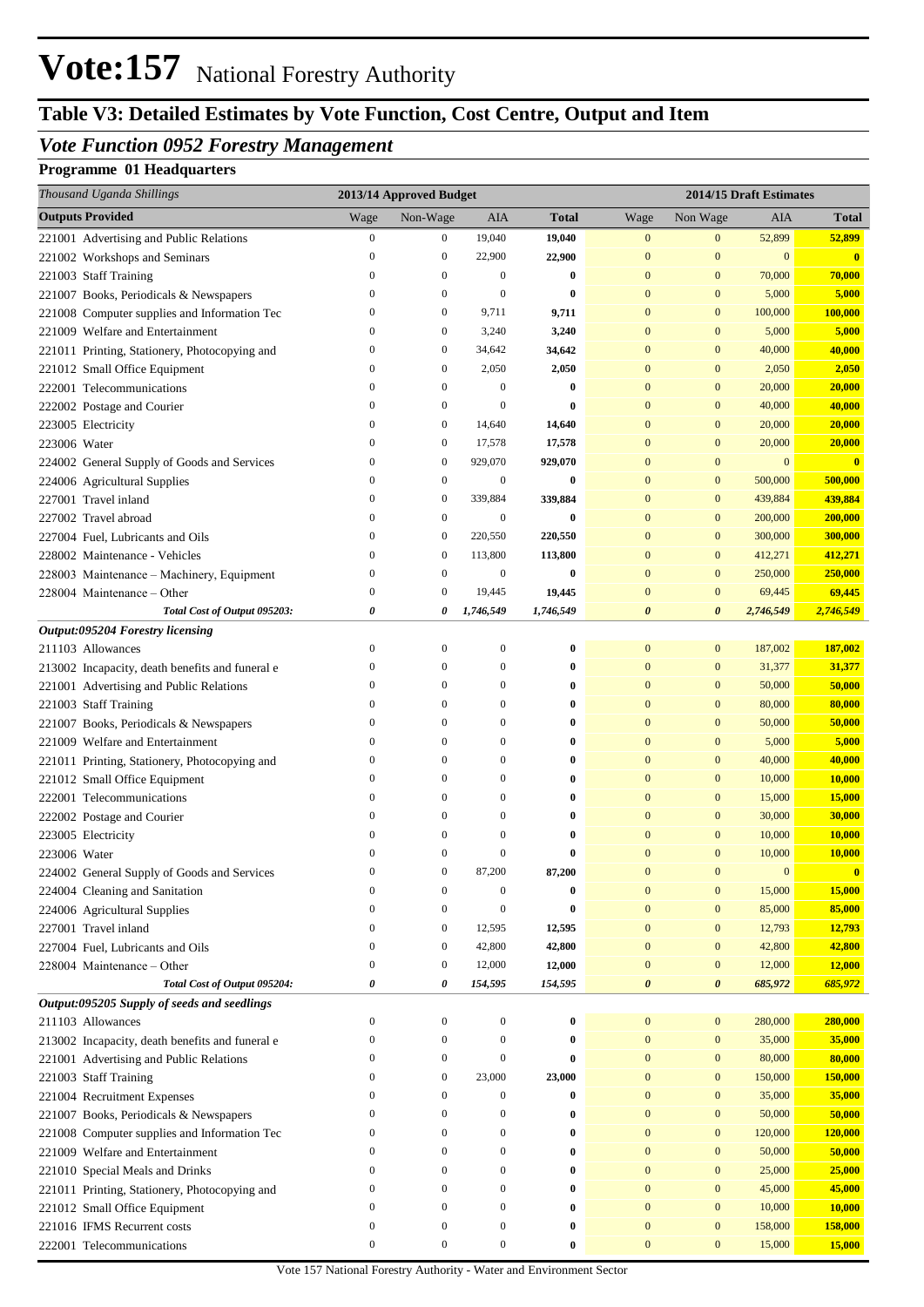## **Table V3: Detailed Estimates by Vote Function, Cost Centre, Output and Item**

### *Vote Function 0952 Forestry Management*

### **Programme 01 Headquarters**

| Thousand Uganda Shillings                             | 2013/14 Approved Budget |                  |                  |              | 2014/15 Draft Estimates |                  |                  |               |
|-------------------------------------------------------|-------------------------|------------------|------------------|--------------|-------------------------|------------------|------------------|---------------|
| <b>Outputs Provided</b>                               | Wage                    | Non-Wage         | AIA              | <b>Total</b> | Wage                    | Non Wage         | AIA              | Total         |
| 221001 Advertising and Public Relations               | $\boldsymbol{0}$        | 0                | 19,040           | 19,040       | $\boldsymbol{0}$        | $\boldsymbol{0}$ | 52,899           | 52,899        |
| 221002 Workshops and Seminars                         | 0                       | $\boldsymbol{0}$ | 22,900           | 22,900       | $\overline{0}$          | $\bf{0}$         | $\boldsymbol{0}$ | $\mathbf{0}$  |
| 221003 Staff Training                                 | 0                       | $\boldsymbol{0}$ | $\mathbf{0}$     | 0            | $\bf{0}$                | $\bf{0}$         | 70,000           | 70,000        |
| 221007 Books, Periodicals & Newspapers                | $\boldsymbol{0}$        | $\boldsymbol{0}$ | $\mathbf{0}$     | 0            | $\mathbf{0}$            | $\bf{0}$         | 5,000            | 5,000         |
| 221008 Computer supplies and Information Tec          | 0                       | $\boldsymbol{0}$ | 9,711            | 9,711        | $\overline{0}$          | $\bf{0}$         | 100,000          | 100,000       |
| 221009 Welfare and Entertainment                      | 0                       | $\boldsymbol{0}$ | 3,240            | 3,240        | $\bf{0}$                | $\bf{0}$         | 5,000            | 5,000         |
| 221011 Printing, Stationery, Photocopying and         | $\boldsymbol{0}$        | $\boldsymbol{0}$ | 34,642           | 34,642       | $\bf{0}$                | $\bf{0}$         | 40,000           | 40,000        |
| 221012 Small Office Equipment                         | 0                       | $\boldsymbol{0}$ | 2,050            | 2,050        | $\bf{0}$                | $\bf{0}$         | 2,050            | 2,050         |
| 222001 Telecommunications                             | 0                       | $\boldsymbol{0}$ | $\mathbf{0}$     | 0            | $\boldsymbol{0}$        | $\bf{0}$         | 20,000           | 20,000        |
| 222002 Postage and Courier                            | $\boldsymbol{0}$        | $\boldsymbol{0}$ | $\mathbf{0}$     | 0            | $\bf{0}$                | $\bf{0}$         | 40,000           | 40,000        |
| 223005 Electricity                                    | 0                       | $\boldsymbol{0}$ | 14,640           | 14,640       | $\bf{0}$                | $\mathbf{0}$     | 20,000           | 20,000        |
| 223006 Water                                          | $\mathbf{0}$            | $\boldsymbol{0}$ | 17,578           | 17,578       | $\bf{0}$                | $\bf{0}$         | 20,000           | 20,000        |
| 224002 General Supply of Goods and Services           | $\boldsymbol{0}$        | $\boldsymbol{0}$ | 929,070          | 929,070      | $\bf{0}$                | $\bf{0}$         | $\bf{0}$         | $\mathbf{0}$  |
| 224006 Agricultural Supplies                          | $\mathbf{0}$            | $\boldsymbol{0}$ | $\boldsymbol{0}$ | 0            | $\bf{0}$                | $\boldsymbol{0}$ | 500,000          | 500,000       |
| 227001 Travel inland                                  | $\mathbf{0}$            | $\boldsymbol{0}$ | 339,884          | 339,884      | $\overline{0}$          | $\mathbf{0}$     | 439,884          | 439,884       |
| 227002 Travel abroad                                  | $\boldsymbol{0}$        | $\boldsymbol{0}$ | $\mathbf{0}$     | 0            | $\bf{0}$                | $\mathbf{0}$     | 200,000          | 200,000       |
| 227004 Fuel, Lubricants and Oils                      | $\boldsymbol{0}$        | $\boldsymbol{0}$ | 220,550          | 220,550      | $\overline{0}$          | $\bf{0}$         | 300,000          | 300,000       |
| 228002 Maintenance - Vehicles                         | $\mathbf{0}$            | $\boldsymbol{0}$ | 113,800          | 113,800      | $\mathbf{0}$            | $\bf{0}$         | 412,271          | 412,271       |
| 228003 Maintenance - Machinery, Equipment             | $\boldsymbol{0}$        | $\boldsymbol{0}$ | $\boldsymbol{0}$ | 0            | $\mathbf{0}$            | $\mathbf{0}$     | 250,000          | 250,000       |
| 228004 Maintenance – Other                            | $\boldsymbol{0}$        | $\boldsymbol{0}$ | 19,445           | 19,445       | $\bf{0}$                | $\bf{0}$         | 69,445           | 69,445        |
| Total Cost of Output 095203:                          | 0                       | 0                | 1,746,549        | 1,746,549    | 0                       | 0                | 2,746,549        | 2,746,549     |
| Output:095204 Forestry licensing<br>211103 Allowances | $\boldsymbol{0}$        | $\boldsymbol{0}$ | $\boldsymbol{0}$ | 0            | $\boldsymbol{0}$        | $\boldsymbol{0}$ | 187,002          | 187,002       |
| 213002 Incapacity, death benefits and funeral e       | $\boldsymbol{0}$        | $\boldsymbol{0}$ | 0                | 0            | $\overline{0}$          | $\bf{0}$         | 31,377           | 31,377        |
| 221001 Advertising and Public Relations               | 0                       | $\boldsymbol{0}$ | 0                | 0            | $\overline{0}$          | $\mathbf{0}$     | 50,000           | 50,000        |
| 221003 Staff Training                                 | $\mathbf{0}$            | $\boldsymbol{0}$ | 0                | 0            | $\boldsymbol{0}$        | $\mathbf{0}$     | 80,000           | 80,000        |
| 221007 Books, Periodicals & Newspapers                | $\boldsymbol{0}$        | $\boldsymbol{0}$ | 0                | 0            | $\bf{0}$                | $\bf{0}$         | 50,000           | 50,000        |
| 221009 Welfare and Entertainment                      | $\mathbf{0}$            | $\mathbf{0}$     | 0                | 0            | $\bf{0}$                | $\bf{0}$         | 5,000            | 5,000         |
| 221011 Printing, Stationery, Photocopying and         | $\boldsymbol{0}$        | $\boldsymbol{0}$ | 0                | 0            | $\bf{0}$                | $\bf{0}$         | 40,000           | 40,000        |
| 221012 Small Office Equipment                         | 0                       | $\mathbf{0}$     | 0                | 0            | $\overline{0}$          | $\bf{0}$         | 10,000           | 10,000        |
| 222001 Telecommunications                             | 0                       | $\mathbf{0}$     | 0                | 0            | $\boldsymbol{0}$        | $\bf{0}$         | 15,000           | <b>15,000</b> |
| 222002 Postage and Courier                            | $\mathbf{0}$            | $\mathbf{0}$     | 0                | 0            | $\bf{0}$                | $\bf{0}$         | 30,000           | 30,000        |
| 223005 Electricity                                    | $\mathbf{0}$            | $\mathbf{0}$     | $\theta$         | 0            | $\overline{0}$          | $\mathbf{0}$     | 10,000           | 10,000        |
| 223006 Water                                          | 0                       | $\boldsymbol{0}$ | 0                | 0            | $\bf{0}$                | $\mathbf{0}$     | 10,000           | 10,000        |
| 224002 General Supply of Goods and Services           | $\Omega$                | $\mathbf{0}$     | 87,200           | 87,200       | $\Omega$                | $\Omega$         | $\bf{0}$         | $\mathbf{0}$  |
| 224004 Cleaning and Sanitation                        | $\boldsymbol{0}$        | $\mathbf{0}$     | 0                | 0            | $\mathbf{0}$            | $\boldsymbol{0}$ | 15,000           | 15,000        |
| 224006 Agricultural Supplies                          | $\boldsymbol{0}$        | $\mathbf{0}$     | $\theta$         | 0            | $\bf{0}$                | $\boldsymbol{0}$ | 85,000           | 85,000        |
| 227001 Travel inland                                  | 0                       | $\boldsymbol{0}$ | 12,595           | 12,595       | $\bf{0}$                | $\boldsymbol{0}$ | 12,793           | 12,793        |
| 227004 Fuel, Lubricants and Oils                      | 0                       | $\boldsymbol{0}$ | 42,800           | 42,800       | $\bf{0}$                | $\boldsymbol{0}$ | 42,800           | 42,800        |
| 228004 Maintenance – Other                            | 0                       | $\boldsymbol{0}$ | 12,000           | 12,000       | $\bf{0}$                | $\boldsymbol{0}$ | 12,000           | 12,000        |
| Total Cost of Output 095204:                          | 0                       | 0                | 154,595          | 154,595      | 0                       | 0                | 685,972          | 685,972       |
| Output:095205 Supply of seeds and seedlings           |                         |                  |                  |              |                         |                  |                  |               |
| 211103 Allowances                                     | $\boldsymbol{0}$        | $\mathbf{0}$     | $\boldsymbol{0}$ | 0            | $\bf{0}$                | $\boldsymbol{0}$ | 280,000          | 280,000       |
| 213002 Incapacity, death benefits and funeral e       | 0                       | $\boldsymbol{0}$ | 0                | 0            | $\bf{0}$                | $\boldsymbol{0}$ | 35,000           | 35,000        |
| 221001 Advertising and Public Relations               | 0                       | $\boldsymbol{0}$ | 0                | 0            | $\bf{0}$                | $\boldsymbol{0}$ | 80,000           | 80,000        |
| 221003 Staff Training                                 | 0                       | $\boldsymbol{0}$ | 23,000           | 23,000       | $\bf{0}$                | $\boldsymbol{0}$ | 150,000          | 150,000       |
| 221004 Recruitment Expenses                           | 0                       | $\boldsymbol{0}$ | 0                | 0            | $\bf{0}$                | $\boldsymbol{0}$ | 35,000           | 35,000        |
| 221007 Books, Periodicals & Newspapers                | $\boldsymbol{0}$        | $\boldsymbol{0}$ | 0                | 0            | $\bf{0}$                | $\boldsymbol{0}$ | 50,000           | 50,000        |
| 221008 Computer supplies and Information Tec          | $\boldsymbol{0}$        | $\boldsymbol{0}$ | 0                | 0            | $\bf{0}$                | $\mathbf{0}$     | 120,000          | 120,000       |
| 221009 Welfare and Entertainment                      | 0                       | $\boldsymbol{0}$ | 0                | 0            | $\bf{0}$                | $\boldsymbol{0}$ | 50,000           | 50,000        |
| 221010 Special Meals and Drinks                       | 0                       | $\boldsymbol{0}$ | 0                | 0            | $\bf{0}$                | $\boldsymbol{0}$ | 25,000           | 25,000        |
| 221011 Printing, Stationery, Photocopying and         | 0                       | $\boldsymbol{0}$ | 0                | 0            | $\bf{0}$                | $\boldsymbol{0}$ | 45,000           | 45,000        |
| 221012 Small Office Equipment                         | 0                       | $\boldsymbol{0}$ | 0                | 0            | $\bf{0}$                | $\boldsymbol{0}$ | 10,000           | 10,000        |
| 221016 IFMS Recurrent costs                           | 0                       | $\boldsymbol{0}$ | 0                | 0            | $\bf{0}$                | $\boldsymbol{0}$ | 158,000          | 158,000       |
| 222001 Telecommunications                             | $\boldsymbol{0}$        | $\boldsymbol{0}$ | 0                | $\bf{0}$     | $\boldsymbol{0}$        | $\boldsymbol{0}$ | 15,000           | 15,000        |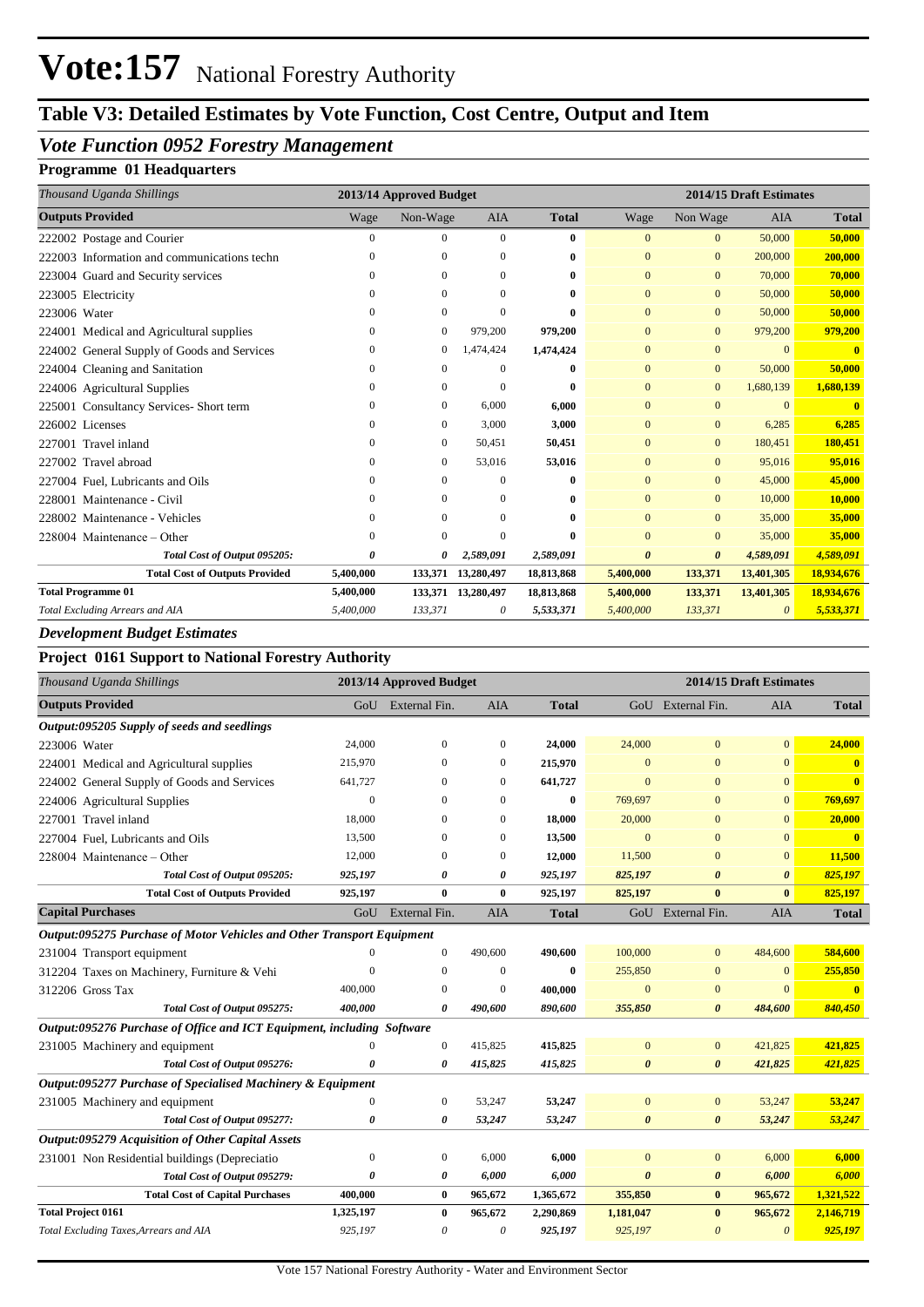### **Table V3: Detailed Estimates by Vote Function, Cost Centre, Output and Item**

### *Vote Function 0952 Forestry Management*

#### **Programme 01 Headquarters**

| Thousand Uganda Shillings                   | 2013/14 Approved Budget<br>2014/15 Draft Estimates |              |              |              |                       |                       |            |              |
|---------------------------------------------|----------------------------------------------------|--------------|--------------|--------------|-----------------------|-----------------------|------------|--------------|
| <b>Outputs Provided</b>                     | Wage                                               | Non-Wage     | <b>AIA</b>   | <b>Total</b> | Wage                  | Non Wage              | <b>AIA</b> | <b>Total</b> |
| 222002 Postage and Courier                  | $\overline{0}$                                     | $\mathbf{0}$ | $\mathbf{0}$ | 0            | $\Omega$              | $\mathbf{0}$          | 50,000     | 50,000       |
| 222003 Information and communications techn | $\Omega$                                           | $\Omega$     | $\Omega$     | 0            | $\Omega$              | $\overline{0}$        | 200,000    | 200,000      |
| 223004 Guard and Security services          | 0                                                  | $\mathbf{0}$ | $\Omega$     | 0            | $\mathbf{0}$          | $\mathbf{0}$          | 70,000     | 70,000       |
| 223005 Electricity                          | 0                                                  | $\mathbf{0}$ | $\Omega$     | 0            | $\Omega$              | $\mathbf{0}$          | 50,000     | 50,000       |
| 223006 Water                                | 0                                                  | $\mathbf{0}$ | $\Omega$     | 0            | $\Omega$              | $\mathbf{0}$          | 50,000     | 50,000       |
| 224001 Medical and Agricultural supplies    | 0                                                  | $\mathbf{0}$ | 979,200      | 979,200      | $\Omega$              | $\Omega$              | 979,200    | 979,200      |
| 224002 General Supply of Goods and Services | 0                                                  | $\mathbf{0}$ | 1,474,424    | 1,474,424    | $\Omega$              | $\mathbf{0}$          | $\Omega$   | $\mathbf{0}$ |
| 224004 Cleaning and Sanitation              | $\Omega$                                           | $\Omega$     | $\Omega$     | 0            | $\mathbf{0}$          | $\mathbf{0}$          | 50,000     | 50,000       |
| 224006 Agricultural Supplies                | 0                                                  | $\mathbf{0}$ | $\theta$     | 0            | $\overline{0}$        | $\mathbf{0}$          | 1,680,139  | 1,680,139    |
| 225001 Consultancy Services- Short term     | 0                                                  | $\mathbf{0}$ | 6,000        | 6,000        | $\Omega$              | $\mathbf{0}$          | $\Omega$   |              |
| 226002 Licenses                             | 0                                                  | $\mathbf{0}$ | 3,000        | 3,000        | $\Omega$              | $\mathbf{0}$          | 6,285      | 6,285        |
| 227001 Travel inland                        | $^{(1)}$                                           | $\mathbf{0}$ | 50,451       | 50,451       | $\Omega$              | $\mathbf{0}$          | 180,451    | 180,451      |
| 227002 Travel abroad                        | 0                                                  | $\mathbf{0}$ | 53,016       | 53,016       | $\mathbf{0}$          | $\mathbf{0}$          | 95,016     | 95,016       |
| 227004 Fuel, Lubricants and Oils            | $\Omega$                                           | $\Omega$     | $\Omega$     | 0            | $\Omega$              | $\Omega$              | 45,000     | 45,000       |
| Maintenance - Civil<br>228001               | 0                                                  | $\Omega$     | $\Omega$     | 0            | $\overline{0}$        | $\mathbf{0}$          | 10,000     | 10,000       |
| 228002 Maintenance - Vehicles               | 0                                                  | $\Omega$     | $\Omega$     | 0            | $\theta$              | $\Omega$              | 35,000     | 35,000       |
| 228004 Maintenance – Other                  | 0                                                  | $\Omega$     | $\Omega$     | 0            | $\mathbf{0}$          | $\mathbf{0}$          | 35,000     | 35,000       |
| Total Cost of Output 095205:                | 0                                                  | 0            | 2,589,091    | 2,589,091    | $\boldsymbol{\theta}$ | $\boldsymbol{\theta}$ | 4,589,091  | 4,589,091    |
| <b>Total Cost of Outputs Provided</b>       | 5,400,000                                          | 133,371      | 13,280,497   | 18,813,868   | 5,400,000             | 133,371               | 13,401,305 | 18,934,676   |
| <b>Total Programme 01</b>                   | 5,400,000                                          | 133,371      | 13,280,497   | 18,813,868   | 5,400,000             | 133,371               | 13,401,305 | 18,934,676   |
| Total Excluding Arrears and AIA             | 5,400,000                                          | 133,371      | $\theta$     | 5,533,371    | 5,400,000             | 133,371               | $\theta$   | 5,533,371    |

#### *Development Budget Estimates*

#### **Project 0161 Support to National Forestry Authority**

| Thousand Uganda Shillings                                                     |              | 2013/14 Approved Budget |              | 2014/15 Draft Estimates |                       |                       |                       |                         |
|-------------------------------------------------------------------------------|--------------|-------------------------|--------------|-------------------------|-----------------------|-----------------------|-----------------------|-------------------------|
| <b>Outputs Provided</b>                                                       |              | GoU External Fin.       | <b>AIA</b>   | <b>Total</b>            |                       | GoU External Fin.     | <b>AIA</b>            | <b>Total</b>            |
| Output:095205 Supply of seeds and seedlings                                   |              |                         |              |                         |                       |                       |                       |                         |
| 223006 Water                                                                  | 24,000       | $\mathbf{0}$            | $\mathbf{0}$ | 24,000                  | 24,000                | $\mathbf{0}$          | $\mathbf{0}$          | 24,000                  |
| 224001 Medical and Agricultural supplies                                      | 215,970      | $\Omega$                | $\mathbf{0}$ | 215,970                 | $\Omega$              | $\mathbf{0}$          | $\Omega$              | $\overline{\mathbf{0}}$ |
| 224002 General Supply of Goods and Services                                   | 641,727      | 0                       | $\mathbf{0}$ | 641,727                 | $\Omega$              | $\Omega$              | $\Omega$              | $\mathbf{0}$            |
| 224006 Agricultural Supplies                                                  | $\Omega$     | $\Omega$                | $\Omega$     | $\bf{0}$                | 769,697               | $\mathbf{0}$          | $\mathbf{0}$          | 769,697                 |
| 227001 Travel inland                                                          | 18,000       | 0                       | $\mathbf{0}$ | 18,000                  | 20,000                | $\mathbf{0}$          | $\overline{0}$        | 20,000                  |
| 227004 Fuel, Lubricants and Oils                                              | 13,500       | 0                       | $\mathbf{0}$ | 13,500                  | $\mathbf{0}$          | $\mathbf{0}$          | $\Omega$              | $\mathbf{0}$            |
| 228004 Maintenance – Other                                                    | 12,000       | $\Omega$                | $\mathbf{0}$ | 12,000                  | 11,500                | $\overline{0}$        | $\mathbf{0}$          | 11,500                  |
| Total Cost of Output 095205:                                                  | 925,197      | 0                       | 0            | 925,197                 | 825,197               | $\boldsymbol{\theta}$ | $\boldsymbol{\theta}$ | 825,197                 |
| <b>Total Cost of Outputs Provided</b>                                         | 925,197      | $\bf{0}$                | 0            | 925,197                 | 825,197               | $\mathbf{0}$          | $\bf{0}$              | 825,197                 |
| <b>Capital Purchases</b>                                                      | GoU          | External Fin.           | <b>AIA</b>   | <b>Total</b>            |                       | GoU External Fin.     | <b>AIA</b>            | <b>Total</b>            |
| <b>Output:095275 Purchase of Motor Vehicles and Other Transport Equipment</b> |              |                         |              |                         |                       |                       |                       |                         |
| 231004 Transport equipment                                                    |              | $\mathbf{0}$            | 490,600      | 490,600                 | 100,000               | $\mathbf{0}$          | 484,600               | 584,600                 |
| 312204 Taxes on Machinery, Furniture & Vehi                                   | $\Omega$     | $\mathbf{0}$            | $\Omega$     | $\mathbf{0}$            | 255,850               | $\mathbf{0}$          | $\Omega$              | 255,850                 |
| 312206 Gross Tax                                                              | 400,000      | $\Omega$                | $\Omega$     | 400,000                 | $\Omega$              | $\mathbf{0}$          | $\Omega$              |                         |
| Total Cost of Output 095275:                                                  | 400,000      | 0                       | 490,600      | 890,600                 | 355,850               | $\boldsymbol{\theta}$ | 484,600               | 840,450                 |
| Output:095276 Purchase of Office and ICT Equipment, including Software        |              |                         |              |                         |                       |                       |                       |                         |
| 231005 Machinery and equipment                                                |              | $\mathbf{0}$            | 415,825      | 415,825                 | $\mathbf{0}$          | $\mathbf{0}$          | 421,825               | 421,825                 |
| Total Cost of Output 095276:                                                  | 0            | 0                       | 415,825      | 415,825                 | $\boldsymbol{\theta}$ | $\boldsymbol{\theta}$ | 421,825               | 421,825                 |
| Output:095277 Purchase of Specialised Machinery & Equipment                   |              |                         |              |                         |                       |                       |                       |                         |
| 231005 Machinery and equipment                                                | $\mathbf{0}$ | $\mathbf{0}$            | 53,247       | 53,247                  | $\mathbf{0}$          | $\mathbf{0}$          | 53,247                | 53,247                  |
| Total Cost of Output 095277:                                                  | 0            | 0                       | 53,247       | 53,247                  | $\boldsymbol{\theta}$ | $\boldsymbol{\theta}$ | 53,247                | 53,247                  |
| Output:095279 Acquisition of Other Capital Assets                             |              |                         |              |                         |                       |                       |                       |                         |
| 231001 Non Residential buildings (Depreciatio                                 | $\mathbf{0}$ | $\mathbf{0}$            | 6,000        | 6,000                   | $\Omega$              | $\mathbf{0}$          | 6,000                 | 6,000                   |
| Total Cost of Output 095279:                                                  | 0            | 0                       | 6,000        | 6,000                   | $\boldsymbol{\theta}$ | $\boldsymbol{\theta}$ | 6,000                 | 6,000                   |
| <b>Total Cost of Capital Purchases</b>                                        | 400,000      | $\bf{0}$                | 965,672      | 1,365,672               | 355,850               | $\bf{0}$              | 965,672               | 1,321,522               |
| <b>Total Project 0161</b>                                                     | 1,325,197    | $\bf{0}$                | 965,672      | 2,290,869               | 1,181,047             | $\bf{0}$              | 965,672               | 2,146,719               |
| Total Excluding Taxes, Arrears and AIA                                        | 925,197      | 0                       | 0            | 925,197                 | 925,197               | $\theta$              | $\theta$              | 925,197                 |